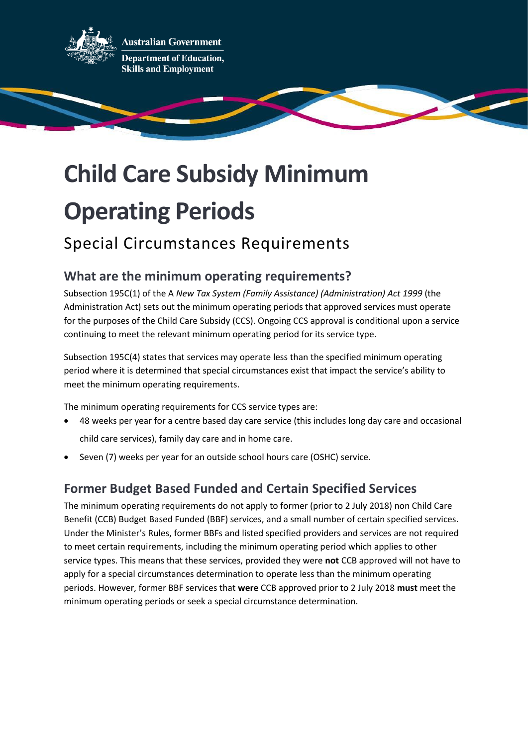

**Australian Government Department of Education, Skills and Employment** 

# **Child Care Subsidy Minimum Operating Periods**

# Special Circumstances Requirements

# **What are the minimum operating requirements?**

Subsection 195C(1) of the A *New Tax System (Family Assistance) (Administration) Act 1999* (the Administration Act) sets out the minimum operating periods that approved services must operate for the purposes of the Child Care Subsidy (CCS). Ongoing CCS approval is conditional upon a service continuing to meet the relevant minimum operating period for its service type.

Subsection 195C(4) states that services may operate less than the specified minimum operating period where it is determined that special circumstances exist that impact the service's ability to meet the minimum operating requirements.

The minimum operating requirements for CCS service types are:

- 48 weeks per year for a centre based day care service (this includes long day care and occasional child care services), family day care and in home care.
- Seven (7) weeks per year for an outside school hours care (OSHC) service.

# **Former Budget Based Funded and Certain Specified Services**

The minimum operating requirements do not apply to former (prior to 2 July 2018) non Child Care Benefit (CCB) Budget Based Funded (BBF) services, and a small number of certain specified services. Under the Minister's Rules, former BBFs and listed specified providers and services are not required to meet certain requirements, including the minimum operating period which applies to other service types. This means that these services, provided they were **not** CCB approved will not have to apply for a special circumstances determination to operate less than the minimum operating periods. However, former BBF services that **were** CCB approved prior to 2 July 2018 **must** meet the minimum operating periods or seek a special circumstance determination.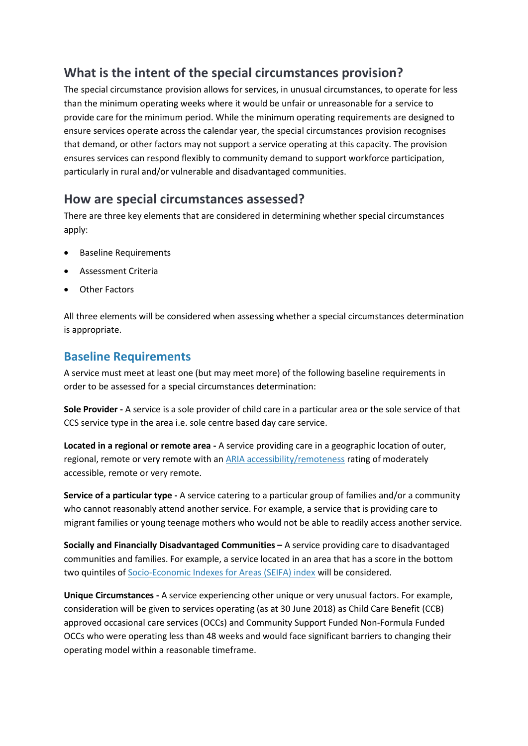# **What is the intent of the special circumstances provision?**

The special circumstance provision allows for services, in unusual circumstances, to operate for less than the minimum operating weeks where it would be unfair or unreasonable for a service to provide care for the minimum period. While the minimum operating requirements are designed to ensure services operate across the calendar year, the special circumstances provision recognises that demand, or other factors may not support a service operating at this capacity. The provision ensures services can respond flexibly to community demand to support workforce participation, particularly in rural and/or vulnerable and disadvantaged communities.

#### **How are special circumstances assessed?**

There are three key elements that are considered in determining whether special circumstances apply:

- Baseline Requirements
- Assessment Criteria
- Other Factors

All three elements will be considered when assessing whether a special circumstances determination is appropriate.

#### **Baseline Requirements**

A service must meet at least one (but may meet more) of the following baseline requirements in order to be assessed for a special circumstances determination:

**Sole Provider -** A service is a sole provider of child care in a particular area or the sole service of that CCS service type in the area i.e. sole centre based day care service.

**Located in a regional or remote area -** A service providing care in a geographic location of outer, regional, remote or very remote with a[n ARIA accessibility/remoteness](https://www.abs.gov.au/ausstats/abs@.nsf/Latestproducts/1270.0.55.005Main%20Features5July%202016?opendocument&tabname=Summary&prodno=1270.0.55.005&issue=July%202016&num=&view=) rating of moderately accessible, remote or very remote.

**Service of a particular type -** A service catering to a particular group of families and/or a community who cannot reasonably attend another service. For example, a service that is providing care to migrant families or young teenage mothers who would not be able to readily access another service.

**Socially and Financially Disadvantaged Communities –** A service providing care to disadvantaged communities and families. For example, a service located in an area that has a score in the bottom two quintiles of [Socio-Economic Indexes for Areas \(SEIFA\) index](https://www.abs.gov.au/ausstats/abs@.nsf/Lookup/by%20Subject/2033.0.55.001~2016~Main%20Features~IRSD%20Interactive%20Map~15) will be considered.

**Unique Circumstances -** A service experiencing other unique or very unusual factors. For example, consideration will be given to services operating (as at 30 June 2018) as Child Care Benefit (CCB) approved occasional care services (OCCs) and Community Support Funded Non-Formula Funded OCCs who were operating less than 48 weeks and would face significant barriers to changing their operating model within a reasonable timeframe.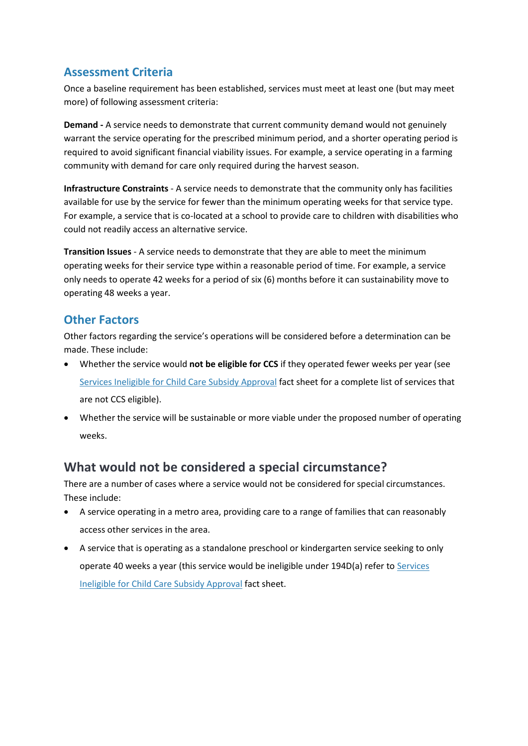#### **Assessment Criteria**

Once a baseline requirement has been established, services must meet at least one (but may meet more) of following assessment criteria:

**Demand -** A service needs to demonstrate that current community demand would not genuinely warrant the service operating for the prescribed minimum period, and a shorter operating period is required to avoid significant financial viability issues. For example, a service operating in a farming community with demand for care only required during the harvest season.

**Infrastructure Constraints** - A service needs to demonstrate that the community only has facilities available for use by the service for fewer than the minimum operating weeks for that service type. For example, a service that is co-located at a school to provide care to children with disabilities who could not readily access an alternative service.

**Transition Issues** - A service needs to demonstrate that they are able to meet the minimum operating weeks for their service type within a reasonable period of time. For example, a service only needs to operate 42 weeks for a period of six (6) months before it can sustainability move to operating 48 weeks a year.

#### **Other Factors**

Other factors regarding the service's operations will be considered before a determination can be made. These include:

- Whether the service would **not be eligible for CCS** if they operated fewer weeks per year (see [Services Ineligible for Child Care Subsidy Approval](https://www.dese.gov.au/uncategorised/resources/services-ineligible-child-care-subsidy-approval) fact sheet for a complete list of services that are not CCS eligible).
- Whether the service will be sustainable or more viable under the proposed number of operating weeks.

#### **What would not be considered a special circumstance?**

There are a number of cases where a service would not be considered for special circumstances. These include:

- A service operating in a metro area, providing care to a range of families that can reasonably access other services in the area.
- A service that is operating as a standalone preschool or kindergarten service seeking to only operate 40 weeks a year (this service would be ineligible under 194D(a) refer to Services [Ineligible for Child Care Subsidy Approval](https://www.dese.gov.au/uncategorised/resources/services-ineligible-child-care-subsidy-approval) fact sheet.